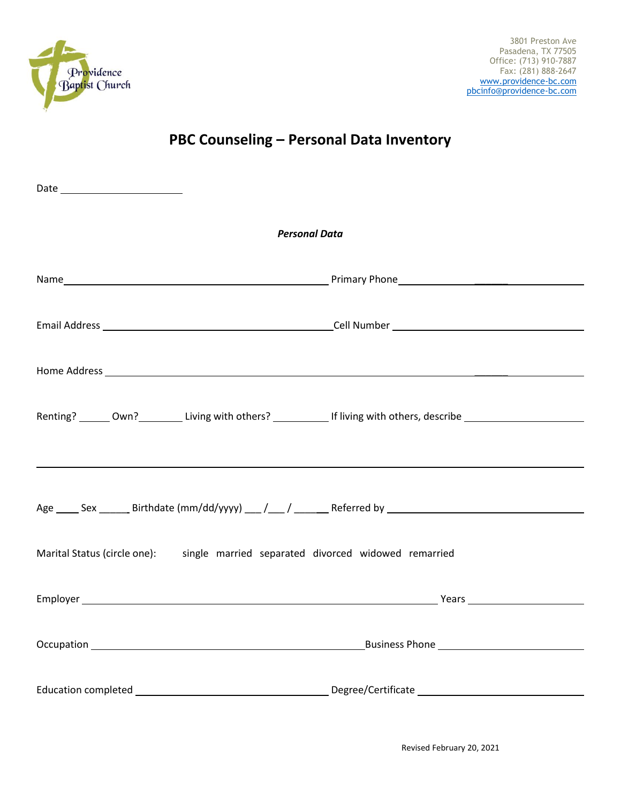

## **PBC Counseling – Personal Data Inventory**

| <b>Personal Data</b>                                                                                                   |  |  |  |  |
|------------------------------------------------------------------------------------------------------------------------|--|--|--|--|
|                                                                                                                        |  |  |  |  |
|                                                                                                                        |  |  |  |  |
|                                                                                                                        |  |  |  |  |
| Renting? _______ Own?____________ Living with others? _____________ If living with others, describe ________________   |  |  |  |  |
| <u> 1999 - Johann Stoff, deutscher Stoffen und der Stoffen und der Stoffen und der Stoffen und der Stoffen und der</u> |  |  |  |  |
| Age ______ Sex ________ Birthdate (mm/dd/yyyy) ____/ _____/ __________Referred by __________________________________   |  |  |  |  |
| Marital Status (circle one): single married separated divorced widowed remarried                                       |  |  |  |  |
|                                                                                                                        |  |  |  |  |
|                                                                                                                        |  |  |  |  |
|                                                                                                                        |  |  |  |  |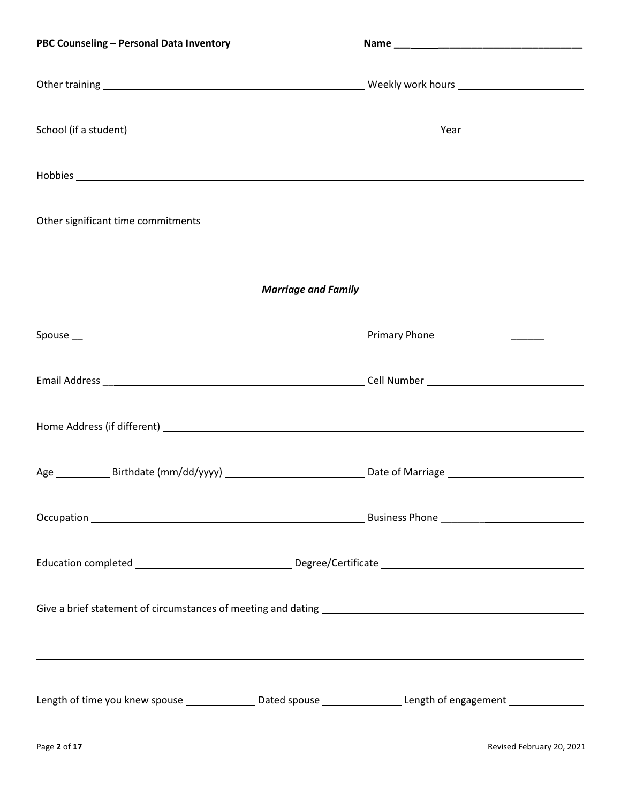| PBC Counseling - Personal Data Inventory                                                                         |  |  |
|------------------------------------------------------------------------------------------------------------------|--|--|
|                                                                                                                  |  |  |
|                                                                                                                  |  |  |
| Hobbies <b>Executive Constitution of the Constitution Constitution Constitution Constitution</b>                 |  |  |
| Other significant time commitments entitled by the state of the state of the state of the state of the state o   |  |  |
|                                                                                                                  |  |  |
| <b>Marriage and Family</b>                                                                                       |  |  |
|                                                                                                                  |  |  |
|                                                                                                                  |  |  |
|                                                                                                                  |  |  |
|                                                                                                                  |  |  |
|                                                                                                                  |  |  |
|                                                                                                                  |  |  |
|                                                                                                                  |  |  |
|                                                                                                                  |  |  |
| Length of time you knew spouse _________________Dated spouse ___________________Length of engagement ___________ |  |  |
|                                                                                                                  |  |  |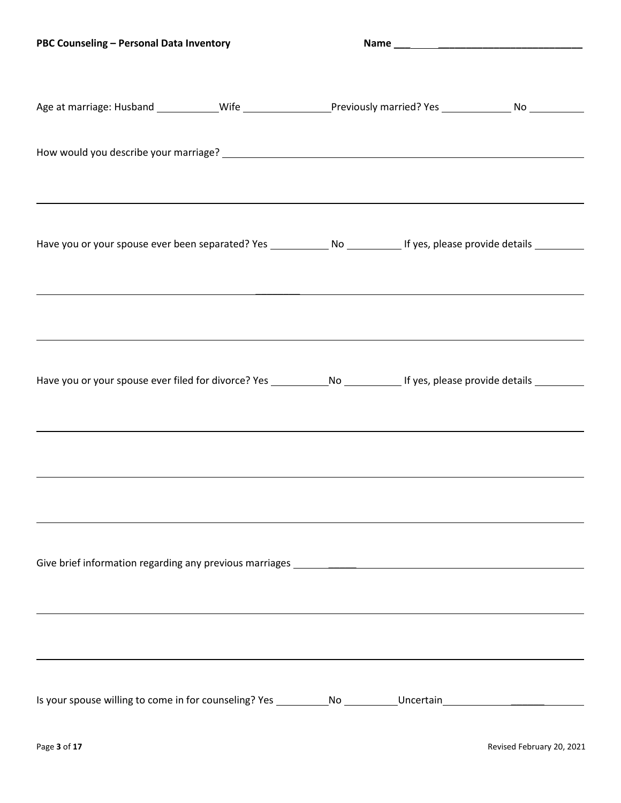| PBC Counseling - Personal Data Inventory                                                                                                                                                                         |  |  |  |
|------------------------------------------------------------------------------------------------------------------------------------------------------------------------------------------------------------------|--|--|--|
| Age at marriage: Husband _____________Wife _______________________Previously married? Yes ___________________No                                                                                                  |  |  |  |
|                                                                                                                                                                                                                  |  |  |  |
|                                                                                                                                                                                                                  |  |  |  |
| Have you or your spouse ever been separated? Yes ______________ No _____________ If yes, please provide details __________                                                                                       |  |  |  |
|                                                                                                                                                                                                                  |  |  |  |
| ,我们也不会有什么。""我们的人,我们也不会有什么?""我们的人,我们也不会有什么?""我们的人,我们也不会有什么?""我们的人,我们也不会有什么?""我们的人                                                                                                                                 |  |  |  |
|                                                                                                                                                                                                                  |  |  |  |
| Have you or your spouse ever filed for divorce? Yes ______________No ______________If yes, please provide details __________<br>,我们也不会有什么。""我们的人,我们也不会有什么?""我们的人,我们也不会有什么?""我们的人,我们也不会有什么?""我们的人,我们也不会有什么?""我们的人 |  |  |  |
|                                                                                                                                                                                                                  |  |  |  |
|                                                                                                                                                                                                                  |  |  |  |
| Give brief information regarding any previous marriages _________________________                                                                                                                                |  |  |  |
|                                                                                                                                                                                                                  |  |  |  |
|                                                                                                                                                                                                                  |  |  |  |
|                                                                                                                                                                                                                  |  |  |  |
| Is your spouse willing to come in for counseling? Yes _____________No ___________Uncertain                                                                                                                       |  |  |  |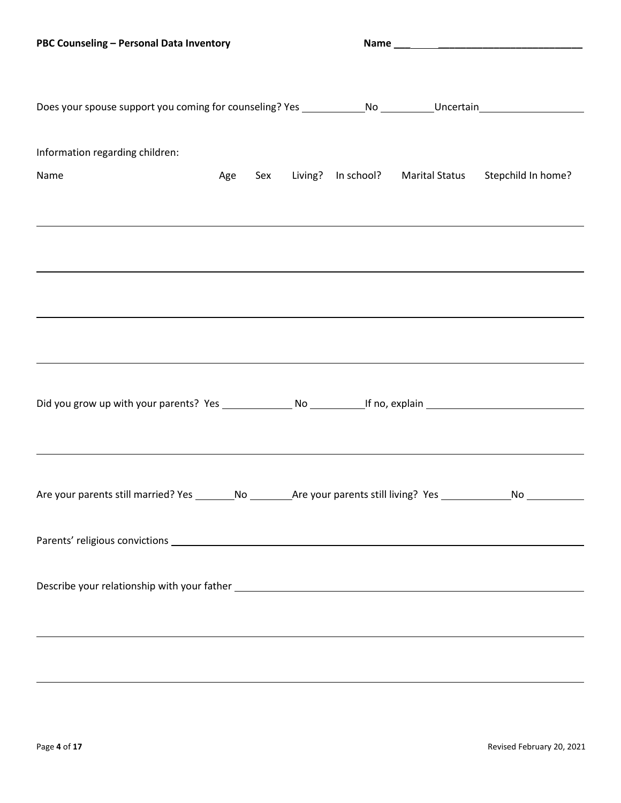| Does your spouse support you coming for counseling? Yes ______________No _________Uncertain___________________               |  |  |                                                              |
|------------------------------------------------------------------------------------------------------------------------------|--|--|--------------------------------------------------------------|
| Information regarding children:                                                                                              |  |  |                                                              |
| Name                                                                                                                         |  |  | Age Sex Living? In school? Marital Status Stepchild In home? |
|                                                                                                                              |  |  |                                                              |
|                                                                                                                              |  |  |                                                              |
|                                                                                                                              |  |  |                                                              |
|                                                                                                                              |  |  |                                                              |
| Did you grow up with your parents? Yes ________________ No ____________If no, explain ________________________               |  |  |                                                              |
| Are your parents still married? Yes _________No __________Are your parents still living? Yes ______________No ______________ |  |  |                                                              |
|                                                                                                                              |  |  |                                                              |
|                                                                                                                              |  |  |                                                              |
|                                                                                                                              |  |  |                                                              |
|                                                                                                                              |  |  |                                                              |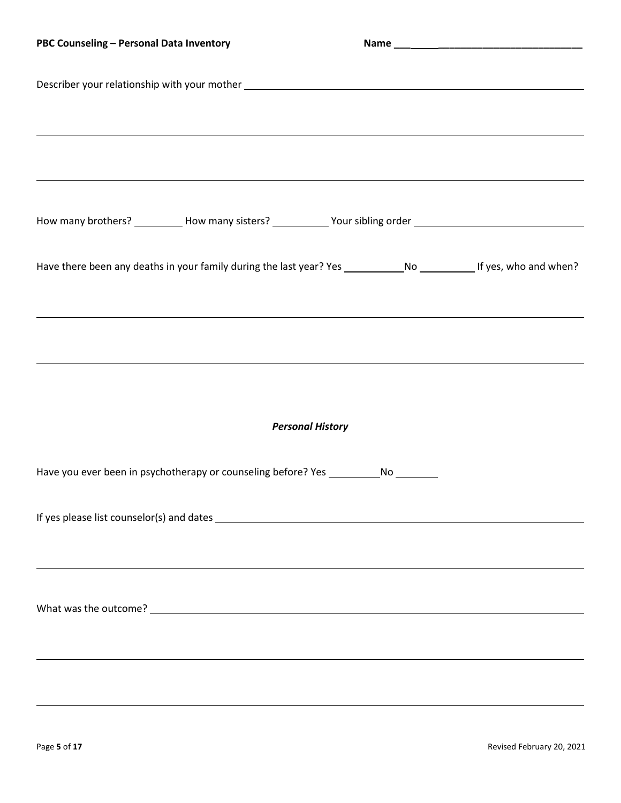| PBC Counseling - Personal Data Inventory                                                                                  |  |
|---------------------------------------------------------------------------------------------------------------------------|--|
| Describer your relationship with your mother ___________________________________                                          |  |
|                                                                                                                           |  |
|                                                                                                                           |  |
| How many brothers? ___________How many sisters? ____________Your sibling order _______________________________            |  |
|                                                                                                                           |  |
| Have there been any deaths in your family during the last year? Yes ________________________________If yes, who and when? |  |
| ,我们也不会有什么。""我们的人,我们也不会有什么?""我们的人,我们也不会有什么?""我们的人,我们也不会有什么?""我们的人,我们也不会有什么?""我们的人                                          |  |
|                                                                                                                           |  |
|                                                                                                                           |  |
| <b>Personal History</b>                                                                                                   |  |
| Have you ever been in psychotherapy or counseling before? Yes _____________No _________                                   |  |
|                                                                                                                           |  |
|                                                                                                                           |  |
|                                                                                                                           |  |
|                                                                                                                           |  |
|                                                                                                                           |  |
|                                                                                                                           |  |
|                                                                                                                           |  |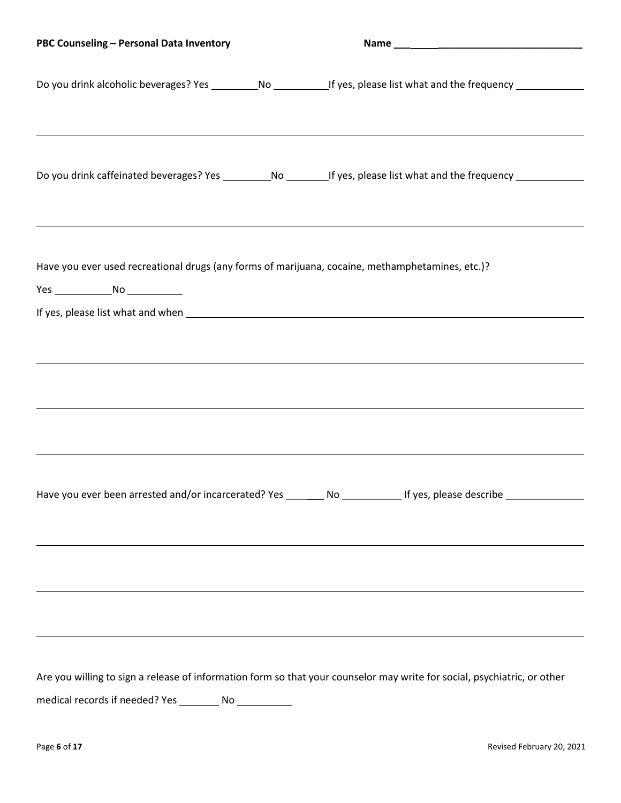| PBC Counseling - Personal Data Inventory                                                                                                                                                                                                          |  |
|---------------------------------------------------------------------------------------------------------------------------------------------------------------------------------------------------------------------------------------------------|--|
| Do you drink alcoholic beverages? Yes ___________No _____________If yes, please list what and the frequency _______________                                                                                                                       |  |
| Do you drink caffeinated beverages? Yes _____________No __________If yes, please list what and the frequency _________                                                                                                                            |  |
| Have you ever used recreational drugs (any forms of marijuana, cocaine, methamphetamines, etc.)?<br>Yes _________________No ______________                                                                                                        |  |
|                                                                                                                                                                                                                                                   |  |
| Have you ever been arrested and/or incarcerated? Yes ________ No ______________ If yes, please describe ____________                                                                                                                              |  |
| ,我们也不会有什么。""我们的人,我们也不会有什么?""我们的人,我们也不会有什么?""我们的人,我们也不会有什么?""我们的人,我们也不会有什么?""我们的人                                                                                                                                                                  |  |
| <u> 1989 - Johann Stoff, deutscher Stoffen und der Stoffen und der Stoffen und der Stoffen und der Stoffen und de</u><br>Are you willing to sign a release of information form so that your counselor may write for social, psychiatric, or other |  |
|                                                                                                                                                                                                                                                   |  |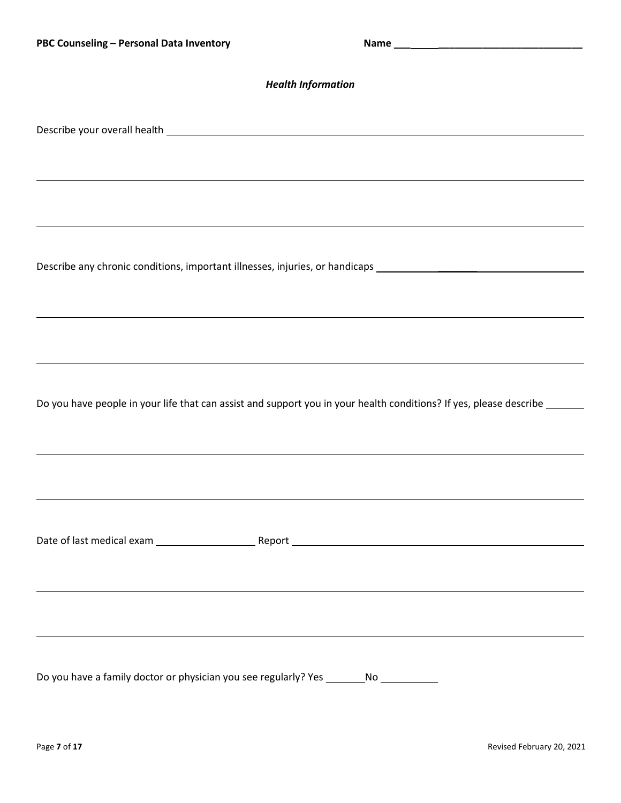| <b>Health Information</b>                                                                                                 |  |  |
|---------------------------------------------------------------------------------------------------------------------------|--|--|
|                                                                                                                           |  |  |
|                                                                                                                           |  |  |
|                                                                                                                           |  |  |
|                                                                                                                           |  |  |
| Describe any chronic conditions, important illnesses, injuries, or handicaps _________________________________            |  |  |
|                                                                                                                           |  |  |
| ,我们也不会有什么。""我们的人,我们也不会有什么?""我们的人,我们也不会有什么?""我们的人,我们也不会有什么?""我们的人,我们也不会有什么?""我们的人                                          |  |  |
|                                                                                                                           |  |  |
| Do you have people in your life that can assist and support you in your health conditions? If yes, please describe ______ |  |  |
|                                                                                                                           |  |  |
|                                                                                                                           |  |  |
|                                                                                                                           |  |  |
|                                                                                                                           |  |  |
|                                                                                                                           |  |  |
|                                                                                                                           |  |  |
|                                                                                                                           |  |  |
| Do you have a family doctor or physician you see regularly? Yes ________No ___________                                    |  |  |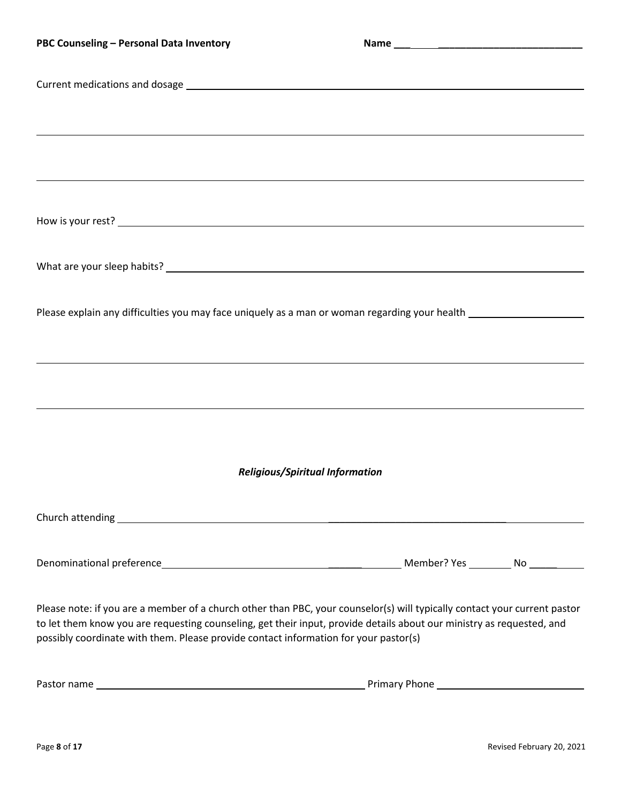| PBC Counseling - Personal Data Inventory                                                                                  |  |  |  |
|---------------------------------------------------------------------------------------------------------------------------|--|--|--|
|                                                                                                                           |  |  |  |
|                                                                                                                           |  |  |  |
|                                                                                                                           |  |  |  |
|                                                                                                                           |  |  |  |
|                                                                                                                           |  |  |  |
|                                                                                                                           |  |  |  |
|                                                                                                                           |  |  |  |
|                                                                                                                           |  |  |  |
|                                                                                                                           |  |  |  |
|                                                                                                                           |  |  |  |
| Please explain any difficulties you may face uniquely as a man or woman regarding your health ________________            |  |  |  |
|                                                                                                                           |  |  |  |
|                                                                                                                           |  |  |  |
|                                                                                                                           |  |  |  |
|                                                                                                                           |  |  |  |
|                                                                                                                           |  |  |  |
| <b>Religious/Spiritual Information</b>                                                                                    |  |  |  |
|                                                                                                                           |  |  |  |
|                                                                                                                           |  |  |  |
|                                                                                                                           |  |  |  |
|                                                                                                                           |  |  |  |
| Please note: if you are a member of a church other than PBC, your counselor(s) will typically contact your current pastor |  |  |  |
| to let them know you are requesting counseling, get their input, provide details about our ministry as requested, and     |  |  |  |
| possibly coordinate with them. Please provide contact information for your pastor(s)                                      |  |  |  |
|                                                                                                                           |  |  |  |

| Pastor name<br><b>Primary Phone</b> |
|-------------------------------------|
|-------------------------------------|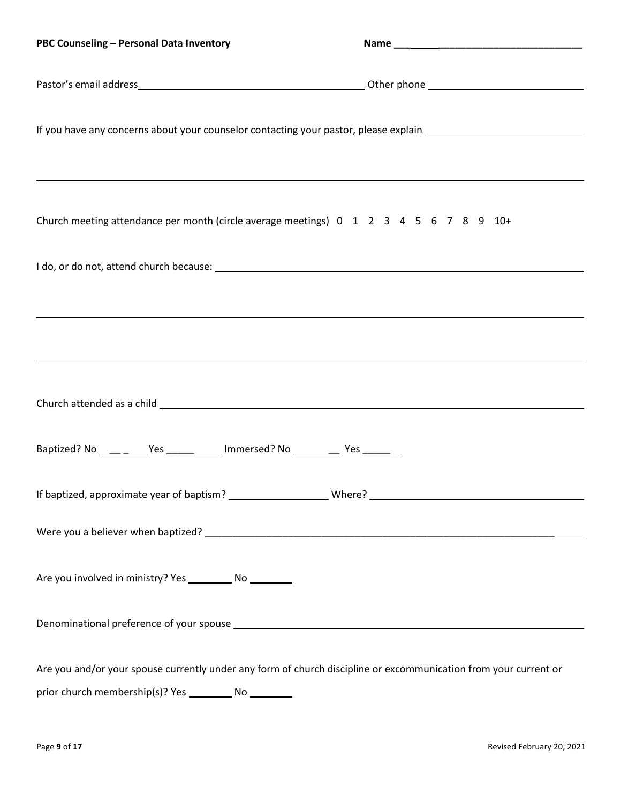| PBC Counseling - Personal Data Inventory                                                                                                                                                                                       |  |
|--------------------------------------------------------------------------------------------------------------------------------------------------------------------------------------------------------------------------------|--|
|                                                                                                                                                                                                                                |  |
| If you have any concerns about your counselor contacting your pastor, please explain ________________________                                                                                                                  |  |
| Church meeting attendance per month (circle average meetings) 0 1 2 3 4 5 6 7 8 9 10+                                                                                                                                          |  |
|                                                                                                                                                                                                                                |  |
|                                                                                                                                                                                                                                |  |
|                                                                                                                                                                                                                                |  |
| Church attended as a child experience of the state of the state of the state of the state of the state of the state of the state of the state of the state of the state of the state of the state of the state of the state of |  |
| Baptized? No ___________ Yes _____________ Immersed? No ___________ Yes ________                                                                                                                                               |  |
|                                                                                                                                                                                                                                |  |
|                                                                                                                                                                                                                                |  |
| Are you involved in ministry? Yes ____________ No __________                                                                                                                                                                   |  |
|                                                                                                                                                                                                                                |  |
| Are you and/or your spouse currently under any form of church discipline or excommunication from your current or                                                                                                               |  |
| prior church membership(s)? Yes ____________ No __________                                                                                                                                                                     |  |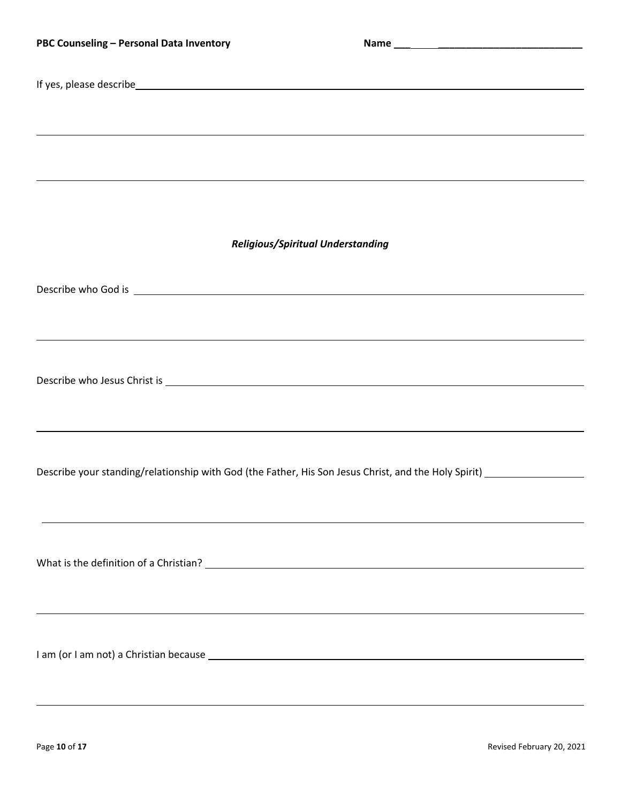| PBC Counseling - Personal Data Inventory                                                                       |  |  |
|----------------------------------------------------------------------------------------------------------------|--|--|
|                                                                                                                |  |  |
|                                                                                                                |  |  |
| ,我们也不会有什么。""我们的人,我们也不会有什么?""我们的人,我们也不会有什么?""我们的人,我们也不会有什么?""我们的人,我们也不会有什么?""我们的人                               |  |  |
| ,我们也不会有什么?""我们的人,我们也不会有什么?""我们的人,我们也不会有什么?""我们的人,我们也不会有什么?""我们的人,我们也不会有什么?""我们的人                               |  |  |
| <b>Religious/Spiritual Understanding</b>                                                                       |  |  |
|                                                                                                                |  |  |
|                                                                                                                |  |  |
| ,我们也不会有什么。""我们的人,我们也不会有什么?""我们的人,我们也不会有什么?""我们的人,我们也不会有什么?""我们的人,我们也不会有什么?""我们的人                               |  |  |
|                                                                                                                |  |  |
|                                                                                                                |  |  |
|                                                                                                                |  |  |
| Describe your standing/relationship with God (the Father, His Son Jesus Christ, and the Holy Spirit) _________ |  |  |
|                                                                                                                |  |  |
|                                                                                                                |  |  |
|                                                                                                                |  |  |
|                                                                                                                |  |  |
|                                                                                                                |  |  |
|                                                                                                                |  |  |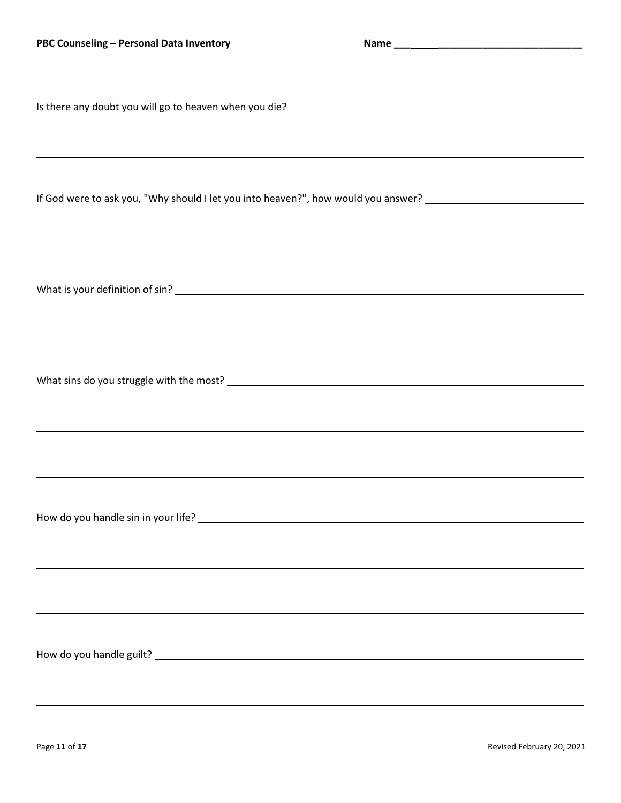| PBC Counseling - Personal Data Inventory                                                                                                                                         |  |
|----------------------------------------------------------------------------------------------------------------------------------------------------------------------------------|--|
| ,我们也不会有什么。""我们的人,我们也不会有什么?""我们的人,我们也不会有什么?""我们的人,我们也不会有什么?""我们的人,我们也不会有什么?""我们的人                                                                                                 |  |
| If God were to ask you, "Why should I let you into heaven?", how would you answer? ___________________________<br><u> 1989 - Andrea Barbara, Amerikaansk politiker (d. 1989)</u> |  |
|                                                                                                                                                                                  |  |
| ,我们也不会有什么。""我们的人,我们也不会有什么?""我们的人,我们也不会有什么?""我们的人,我们也不会有什么?""我们的人,我们也不会有什么?""我们的人                                                                                                 |  |
| ,我们也不会有什么。""我们的人,我们也不会有什么?""我们的人,我们也不会有什么?""我们的人,我们也不会有什么?""我们的人,我们也不会有什么?""我们的人                                                                                                 |  |
|                                                                                                                                                                                  |  |
|                                                                                                                                                                                  |  |
|                                                                                                                                                                                  |  |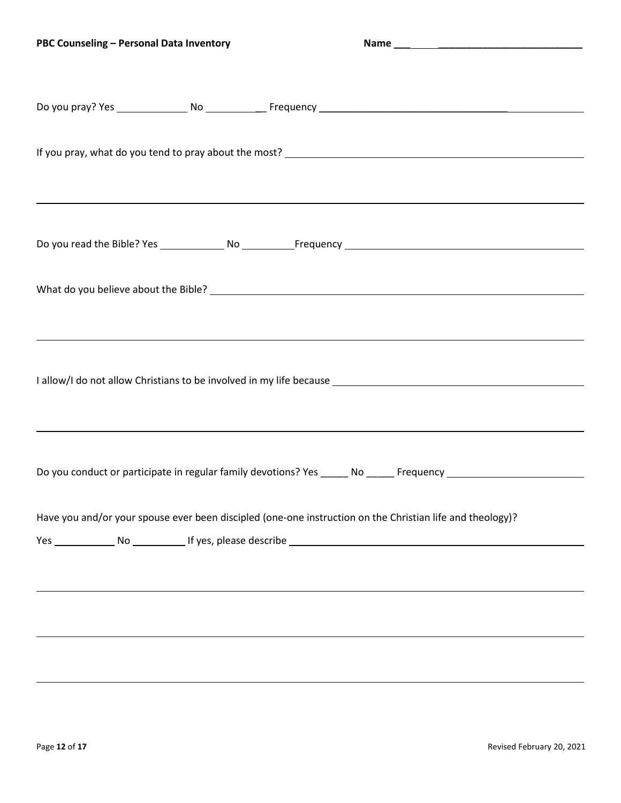| ,我们也不会有什么?""我们的人,我们也不会有什么?""我们的人,我们也不会有什么?""我们的人,我们也不会有什么?""我们的人,我们也不会有什么?""我们的人                               |  |
|----------------------------------------------------------------------------------------------------------------|--|
|                                                                                                                |  |
|                                                                                                                |  |
| ,我们也不会有什么。""我们的人,我们也不会有什么?""我们的人,我们也不会有什么?""我们的人,我们也不会有什么?""我们的人,我们也不会有什么?""我们的人                               |  |
|                                                                                                                |  |
| Do you conduct or participate in regular family devotions? Yes _____ No _____ Frequency ______________________ |  |
| Have you and/or your spouse ever been discipled (one-one instruction on the Christian life and theology)?      |  |
|                                                                                                                |  |
|                                                                                                                |  |
|                                                                                                                |  |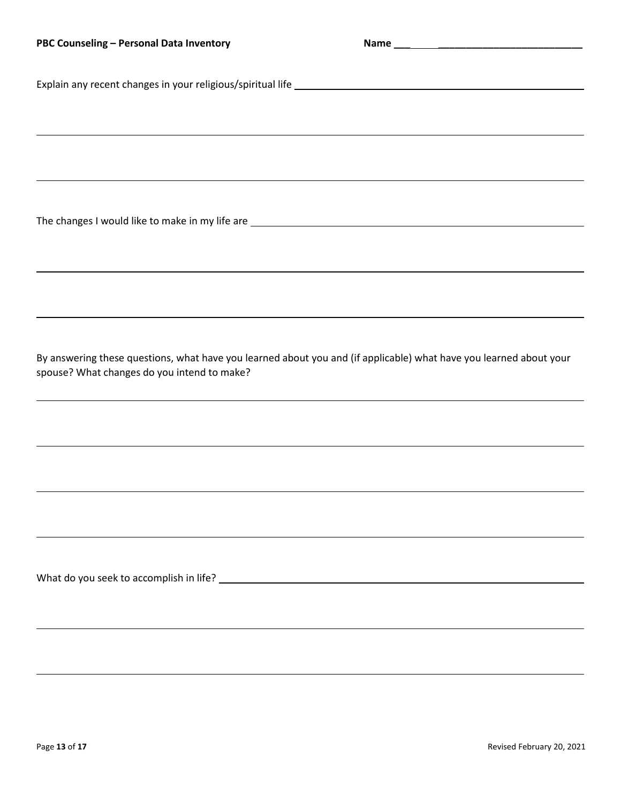Explain any recent changes in your religious/spiritual life

The changes I would like to make in my life are

By answering these questions, what have you learned about you and (if applicable) what have you learned about your spouse? What changes do you intend to make?

What do you seek to accomplish in life?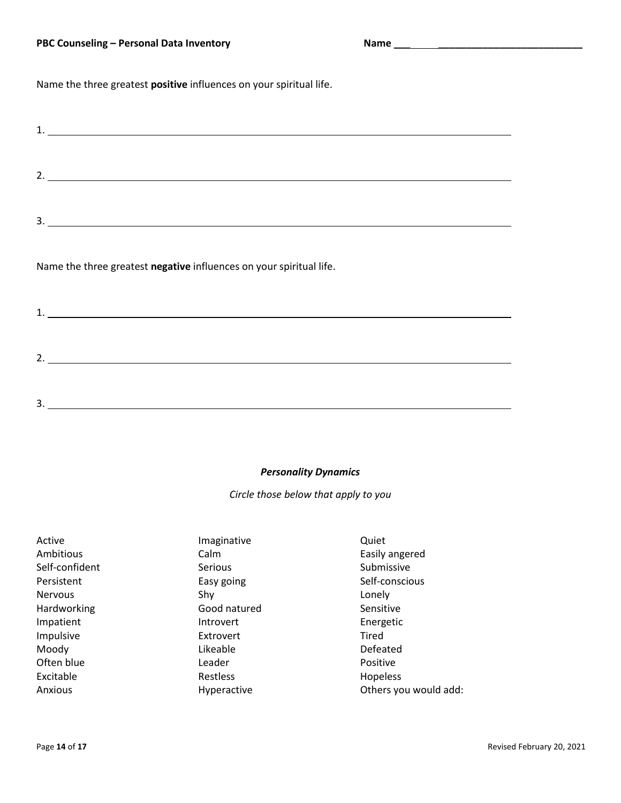Name the three greatest **positive** influences on your spiritual life.

| $\mathbf{1}$                                                        |
|---------------------------------------------------------------------|
| 2.                                                                  |
|                                                                     |
| Name the three greatest negative influences on your spiritual life. |
| 1                                                                   |

2.

3.

## *Personality Dynamics*

*Circle those below that apply to you*

| Active         | Imaginative    | Quiet                 |
|----------------|----------------|-----------------------|
| Ambitious      | Calm           | Easily angered        |
| Self-confident | <b>Serious</b> | Submissive            |
| Persistent     | Easy going     | Self-conscious        |
| <b>Nervous</b> | Shy            | Lonely                |
| Hardworking    | Good natured   | Sensitive             |
| Impatient      | Introvert      | Energetic             |
| Impulsive      | Extrovert      | Tired                 |
| Moody          | Likeable       | Defeated              |
| Often blue     | Leader         | Positive              |
| Excitable      | Restless       | Hopeless              |
| Anxious        | Hyperactive    | Others you would add: |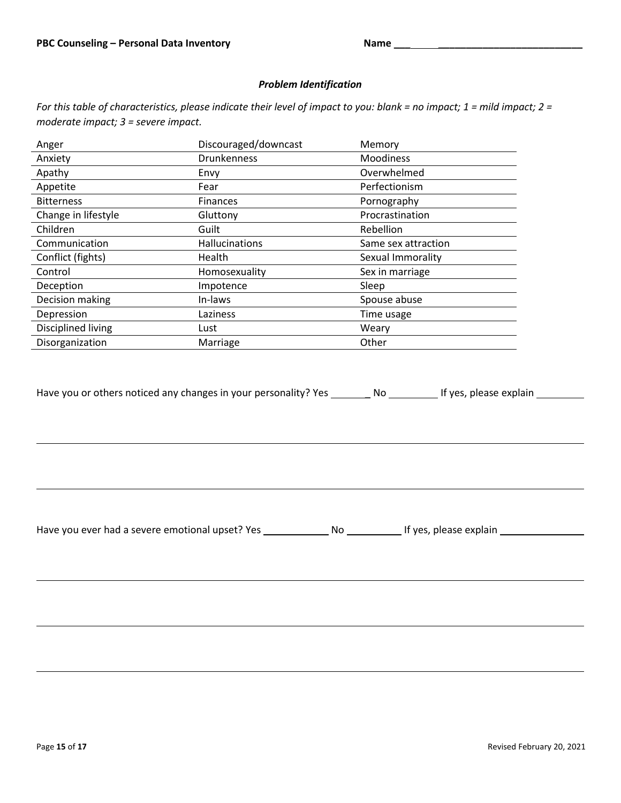## *Problem Identification*

*For this table of characteristics, please indicate their level of impact to you: blank = no impact; 1 = mild impact; 2 = moderate impact; 3 = severe impact.*

| Anger               | Discouraged/downcast | Memory              |
|---------------------|----------------------|---------------------|
| Anxiety             | <b>Drunkenness</b>   | Moodiness           |
| Apathy              | Envy                 | Overwhelmed         |
| Appetite            | Fear                 | Perfectionism       |
| <b>Bitterness</b>   | Finances             | Pornography         |
| Change in lifestyle | Gluttony             | Procrastination     |
| Children            | Guilt                | Rebellion           |
| Communication       | Hallucinations       | Same sex attraction |
| Conflict (fights)   | Health               | Sexual Immorality   |
| Control             | Homosexuality        | Sex in marriage     |
| Deception           | Impotence            | Sleep               |
| Decision making     | In-laws              | Spouse abuse        |
| Depression          | Laziness             | Time usage          |
| Disciplined living  | Lust                 | Weary               |
| Disorganization     | Marriage             | Other               |

Have you or others noticed any changes in your personality? Yes \_\_\_\_\_\_\_\_ No \_\_\_\_\_\_\_\_\_ If yes, please explain \_\_\_\_\_\_\_

Have you ever had a severe emotional upset? Yes \_\_\_\_\_\_\_\_\_\_\_\_\_\_\_No \_\_\_\_\_\_\_\_\_\_\_\_\_If yes, please explain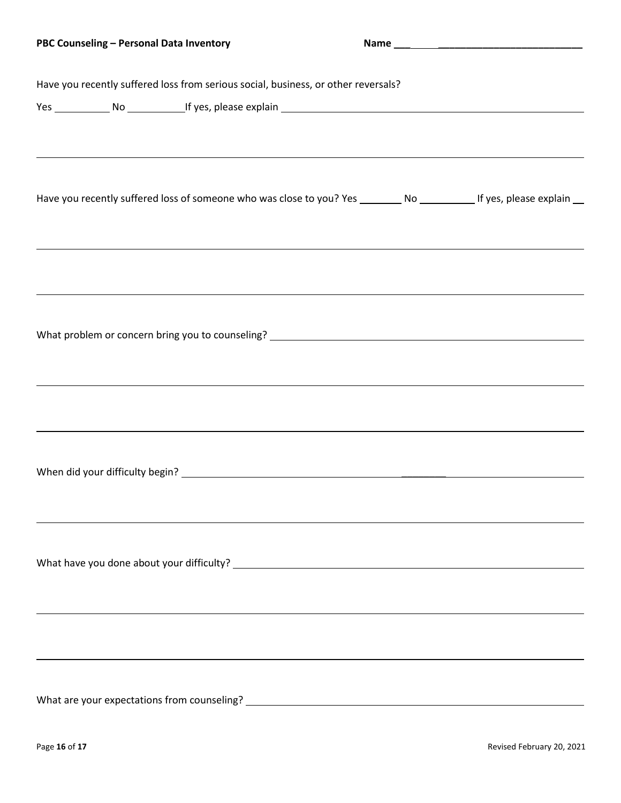| PBC Counseling - Personal Data Inventory                                                                                |                                                                                                                       |
|-------------------------------------------------------------------------------------------------------------------------|-----------------------------------------------------------------------------------------------------------------------|
| Have you recently suffered loss from serious social, business, or other reversals?                                      |                                                                                                                       |
|                                                                                                                         |                                                                                                                       |
| ,我们也不会有什么?""我们的人,我们也不会有什么?""我们的人,我们也不会有什么?""我们的人,我们也不会有什么?""我们的人,我们也不会有什么?""我们的人                                        |                                                                                                                       |
| Have you recently suffered loss of someone who was close to you? Yes _________ No ___________ If yes, please explain __ |                                                                                                                       |
|                                                                                                                         |                                                                                                                       |
|                                                                                                                         |                                                                                                                       |
|                                                                                                                         |                                                                                                                       |
|                                                                                                                         |                                                                                                                       |
|                                                                                                                         |                                                                                                                       |
| ,我们也不会有什么。""我们的人,我们也不会有什么?""我们的人,我们也不会有什么?""我们的人,我们也不会有什么?""我们的人,我们也不会有什么?""我们的人                                        |                                                                                                                       |
|                                                                                                                         |                                                                                                                       |
|                                                                                                                         |                                                                                                                       |
|                                                                                                                         |                                                                                                                       |
|                                                                                                                         |                                                                                                                       |
| What are your expectations from counseling?                                                                             |                                                                                                                       |
|                                                                                                                         | <u> 1980 - Jan Samuel Barbara, martin din shekara ta 1980 - An tsa masa tsara tsa masa tsa masa tsa masa tsa masa</u> |